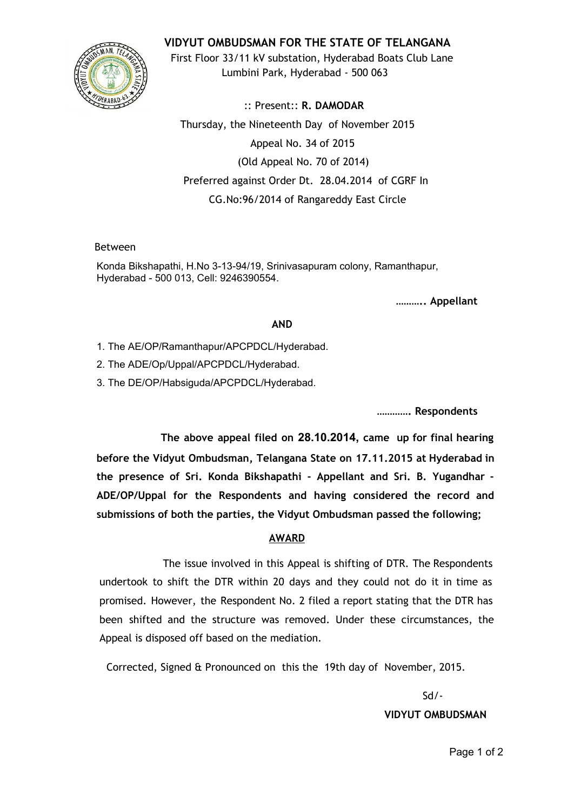

**VIDYUT OMBUDSMAN FOR THE STATE OF TELANGANA**

First Floor 33/11 kV substation, Hyderabad Boats Club Lane Lumbini Park, Hyderabad - 500 063

:: Present:: **R. DAMODAR** Thursday, the Nineteenth Day of November 2015 Appeal No. 34 of 2015 (Old Appeal No. 70 of 2014) Preferred against Order Dt. 28.04.2014 of CGRF In CG.No:96/2014 of Rangareddy East Circle

## Between

Konda Bikshapathi, H.No 3-13-94/19, Srinivasapuram colony, Ramanthapur, Hyderabad 500 013, Cell: 9246390554.

**……….. Appellant**

## **AND**

1. The AE/OP/Ramanthapur/APCPDCL/Hyderabad.

2. The ADE/Op/Uppal/APCPDCL/Hyderabad.

3. The DE/OP/Habsiguda/APCPDCL/Hyderabad.

**…………. Respondents**

**The above appeal filed on 28.10.2014, came up for final hearing before the Vidyut Ombudsman, Telangana State on 17.11.2015 at Hyderabad in the presence of Sri. Konda Bikshapathi - Appellant and Sri. B. Yugandhar - ADE/OP/Uppal for the Respondents and having considered the record and submissions of both the parties, the Vidyut Ombudsman passed the following;**

## **AWARD**

The issue involved in this Appeal is shifting of DTR. The Respondents undertook to shift the DTR within 20 days and they could not do it in time as promised. However, the Respondent No. 2 filed a report stating that the DTR has been shifted and the structure was removed. Under these circumstances, the Appeal is disposed off based on the mediation.

Corrected, Signed & Pronounced on this the 19th day of November, 2015.

Sd/- **VIDYUT OMBUDSMAN**

Page 1 of 2